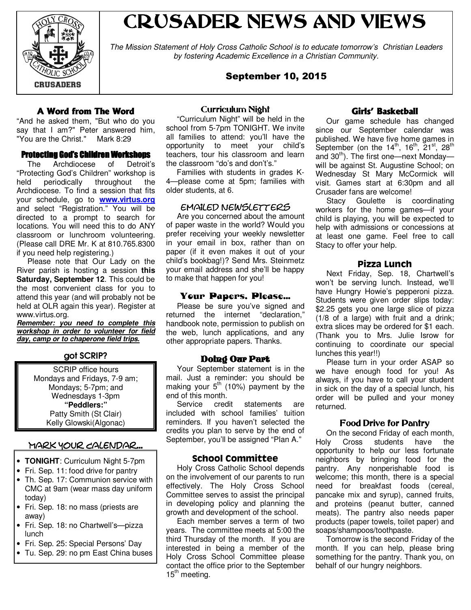

# CRUSADER NEWS AND VIEWS

The Mission Statement of Holy Cross Catholic School is to educate tomorrow's Christian Leaders by fostering Academic Excellence in a Christian Community.

# September 10, 2015

# A Word from The Word

"And he asked them, "But who do you say that I am?" Peter answered him, "You are the Christ." Mark 8:29

#### Protecting God's Children Workshops

 The Archdiocese of Detroit's "Protecting God's Children" workshop is held periodically throughout the Archdiocese. To find a session that fits your schedule, go to **www.virtus.org** and select "Registration." You will be directed to a prompt to search for locations. You will need this to do ANY classroom or lunchroom volunteering. (Please call DRE Mr. K at 810.765.8300 if you need help registering.)

 Please note that Our Lady on the River parish is hosting a session **this Saturday, September 12**. This could be the most convenient class for you to attend this year (and will probably not be held at OLR again this year). Register at www.virtus.org.

**Remember: you need to complete this workshop in order to volunteer for field day, camp or to chaperone field trips.**

# got SCRIP?

SCRIP office hours Mondays and Fridays, 7-9 am; Mondays; 5-7pm; and Wednesdays 1-3pm **"Peddlers:"** Patty Smith (St Clair) Kelly Glowski(Algonac)

# Mark Your Calendar...

- **TONIGHT**: Curriculum Night 5-7pm
- Fri. Sep. 11: food drive for pantry
- Th. Sep. 17: Communion service with CMC at 9am (wear mass day uniform today)
- Fri. Sep. 18: no mass (priests are away)
- Fri. Sep. 18: no Chartwell's—pizza lunch
- Fri. Sep. 25: Special Persons' Day
- Tu. Sep. 29: no pm East China buses

#### Curriculum Night

 "Curriculum Night" will be held in the school from 5-7pm TONIGHT. We invite all families to attend: you'll have the opportunity to meet your child's teachers, tour his classroom and learn the classroom "do's and don't's."

 Families with students in grades K-4—please come at 5pm; families with older students, at 6.

#### emailed newsletters

 Are you concerned about the amount of paper waste in the world? Would you prefer receiving your weekly newsletter in your email in box, rather than on paper (if it even makes it out of your child's bookbag!)? Send Mrs. Steinmetz your email address and she'll be happy to make that happen for you!

#### Your Papers, Please...

 Please be sure you've signed and returned the internet "declaration," handbook note, permission to publish on the web, lunch applications, and any other appropriate papers. Thanks.

## Doing Our Part

 Your September statement is in the mail. Just a reminder: you should be making your  $5<sup>th</sup>$  (10%) payment by the end of this month.

 Service credit statements are included with school families' tuition reminders. If you haven't selected the credits you plan to serve by the end of September, you'll be assigned "Plan A."

## School Committee

 Holy Cross Catholic School depends on the involvement of our parents to run effectively. The Holy Cross School Committee serves to assist the principal in developing policy and planning the growth and development of the school.

 Each member serves a term of two years. The committee meets at 5:00 the third Thursday of the month. If you are interested in being a member of the Holy Cross School Committee please contact the office prior to the September  $15<sup>th</sup>$  meeting.

# Girls' Basketball

 Our game schedule has changed since our September calendar was published. We have five home games in September (on the  $14<sup>th</sup>$ ,  $16<sup>th</sup>$ ,  $21<sup>st</sup>$ ,  $28<sup>th</sup>$ and  $30<sup>th</sup>$ ). The first one—next Monday will be against St. Augustine School; on Wednesday St Mary McCormick will visit. Games start at 6:30pm and all Crusader fans are welcome!

 Stacy Goulette is coordinating workers for the home games—if your child is playing, you will be expected to help with admissions or concessions at at least one game. Feel free to call Stacy to offer your help.

## Pizza Lunch

 Next Friday, Sep. 18, Chartwell's won't be serving lunch. Instead, we'll have Hungry Howie's pepperoni pizza. Students were given order slips today: \$2.25 gets you one large slice of pizza (1/8 of a large) with fruit and a drink; extra slices may be ordered for \$1 each. (Thank you to Mrs. Julie Isrow for continuing to coordinate our special lunches this year!!)

 Please turn in your order ASAP so we have enough food for you! As always, if you have to call your student in sick on the day of a special lunch, his order will be pulled and your money returned.

## Food Drive for Pantry

 On the second Friday of each month, Holy Cross students have the opportunity to help our less fortunate neighbors by bringing food for the pantry. Any nonperishable food is welcome; this month, there is a special need for breakfast foods (cereal, pancake mix and syrup), canned fruits, and proteins (peanut butter, canned meats). The pantry also needs paper products (paper towels, toilet paper) and soaps/shampoos/toothpaste.

 Tomorrow is the second Friday of the month. If you can help, please bring something for the pantry. Thank you, on behalf of our hungry neighbors.